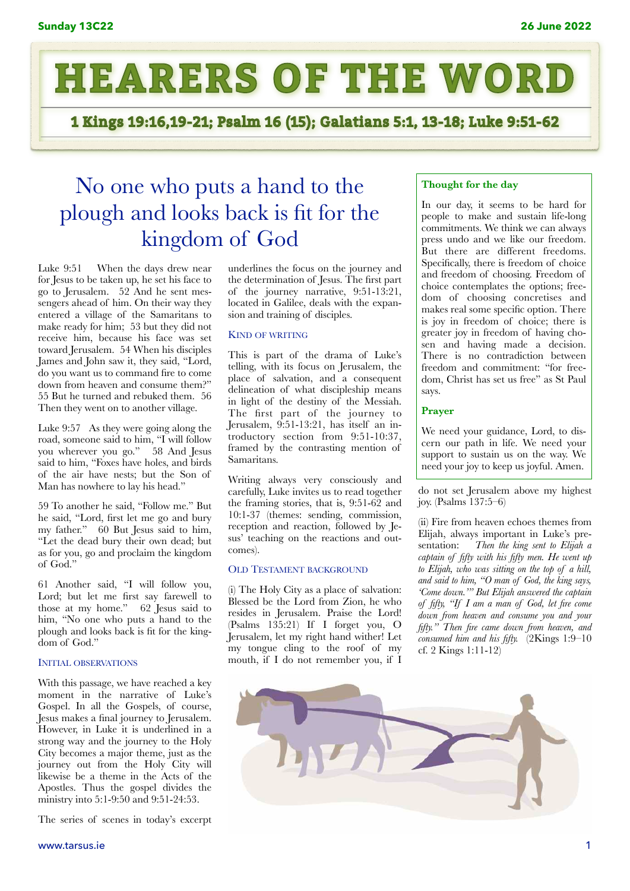

1 Kings 19:16,19-21; Psalm 16 (15); Galatians 5:1, 13-18; Luke 9:51-62

# No one who puts a hand to the plough and looks back is fit for the kingdom of God

Luke 9:51 When the days drew near for Jesus to be taken up, he set his face to go to Jerusalem. 52 And he sent messengers ahead of him. On their way they entered a village of the Samaritans to make ready for him; 53 but they did not receive him, because his face was set toward Jerusalem. 54 When his disciples James and John saw it, they said, "Lord, do you want us to command fire to come down from heaven and consume them?" 55 But he turned and rebuked them. 56 Then they went on to another village.

Luke 9:57 As they were going along the road, someone said to him, "I will follow you wherever you go." 58 And Jesus said to him, "Foxes have holes, and birds of the air have nests; but the Son of Man has nowhere to lay his head."

59 To another he said, "Follow me." But he said, "Lord, first let me go and bury my father." 60 But Jesus said to him, "Let the dead bury their own dead; but as for you, go and proclaim the kingdom of God."

61 Another said, "I will follow you, Lord; but let me first say farewell to those at my home." 62 Jesus said to him, "No one who puts a hand to the plough and looks back is fit for the kingdom of God."

## INITIAL OBSERVATIONS

With this passage, we have reached a key moment in the narrative of Luke's Gospel. In all the Gospels, of course, Jesus makes a final journey to Jerusalem. However, in Luke it is underlined in a strong way and the journey to the Holy City becomes a major theme, just as the journey out from the Holy City will likewise be a theme in the Acts of the Apostles. Thus the gospel divides the ministry into 5:1-9:50 and 9:51-24:53.

The series of scenes in today's excerpt

underlines the focus on the journey and the determination of Jesus. The first part of the journey narrative, 9:51-13:21, located in Galilee, deals with the expansion and training of disciples.

## KIND OF WRITING

This is part of the drama of Luke's telling, with its focus on Jerusalem, the place of salvation, and a consequent delineation of what discipleship means in light of the destiny of the Messiah. The first part of the journey to Jerusalem, 9:51-13:21, has itself an introductory section from 9:51-10:37, framed by the contrasting mention of Samaritans.

Writing always very consciously and carefully, Luke invites us to read together the framing stories, that is, 9:51-62 and 10:1-37 (themes: sending, commission, reception and reaction, followed by Jesus' teaching on the reactions and outcomes).

## OLD TESTAMENT BACKGROUND

(i) The Holy City as a place of salvation: Blessed be the Lord from Zion, he who resides in Jerusalem. Praise the Lord! (Psalms 135:21) If I forget you, O Jerusalem, let my right hand wither! Let my tongue cling to the roof of my mouth, if I do not remember you, if I

## **Thought for the day**

In our day, it seems to be hard for people to make and sustain life-long commitments. We think we can always press undo and we like our freedom. But there are different freedoms. Specifically, there is freedom of choice and freedom of choosing. Freedom of choice contemplates the options; freedom of choosing concretises and makes real some specific option. There is joy in freedom of choice; there is greater joy in freedom of having chosen and having made a decision. There is no contradiction between freedom and commitment: "for freedom, Christ has set us free" as St Paul says.

## **Prayer**

We need your guidance, Lord, to discern our path in life. We need your support to sustain us on the way. We need your joy to keep us joyful. Amen.

do not set Jerusalem above my highest joy. (Psalms 137:5–6)

(ii) Fire from heaven echoes themes from Elijah, always important in Luke's presentation: *Then the king sent to Elijah a captain of fifty with his fifty men. He went up to Elijah, who was sitting on the top of a hill, and said to him, "O man of God, the king says, 'Come down.'" But Elijah answered the captain of fifty, "If I am a man of God, let fire come down from heaven and consume you and your fifty." Then fire came down from heaven, and consumed him and his fifty.* (2Kings 1:9–10 cf. 2 Kings 1:11-12)

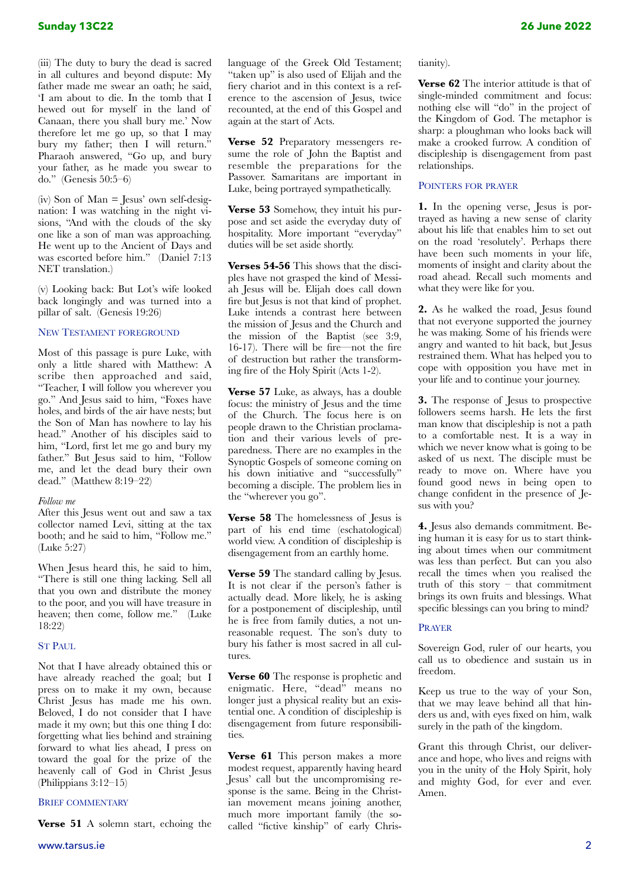(iii) The duty to bury the dead is sacred in all cultures and beyond dispute: My father made me swear an oath; he said, 'I am about to die. In the tomb that I hewed out for myself in the land of Canaan, there you shall bury me.' Now therefore let me go up, so that I may bury my father; then I will return." Pharaoh answered, "Go up, and bury your father, as he made you swear to do." (Genesis 50:5–6)

(iv) Son of Man = Jesus' own self-designation: I was watching in the night visions, "And with the clouds of the sky one like a son of man was approaching. He went up to the Ancient of Days and was escorted before him." (Daniel 7:13 NET translation.)

(v) Looking back: But Lot's wife looked back longingly and was turned into a pillar of salt. (Genesis 19:26)

## NEW TESTAMENT FOREGROUND

Most of this passage is pure Luke, with only a little shared with Matthew: A scribe then approached and said, "Teacher, I will follow you wherever you go." And Jesus said to him, "Foxes have holes, and birds of the air have nests; but the Son of Man has nowhere to lay his head." Another of his disciples said to him, "Lord, first let me go and bury my father." But Jesus said to him, "Follow me, and let the dead bury their own dead." (Matthew 8:19–22)

## *Follow me*

After this Jesus went out and saw a tax collector named Levi, sitting at the tax booth; and he said to him, "Follow me." (Luke 5:27)

When Jesus heard this, he said to him, "There is still one thing lacking. Sell all that you own and distribute the money to the poor, and you will have treasure in heaven; then come, follow me." (Luke 18:22)

## ST PAUL

Not that I have already obtained this or have already reached the goal; but I press on to make it my own, because Christ Jesus has made me his own. Beloved, I do not consider that I have made it my own; but this one thing I do: forgetting what lies behind and straining forward to what lies ahead, I press on toward the goal for the prize of the heavenly call of God in Christ Jesus (Philippians 3:12–15)

## BRIEF COMMENTARY

**Verse 51** A solemn start, echoing the

language of the Greek Old Testament; "taken up" is also used of Elijah and the fiery chariot and in this context is a reference to the ascension of Jesus, twice recounted, at the end of this Gospel and again at the start of Acts.

**Verse 52** Preparatory messengers resume the role of John the Baptist and resemble the preparations for the Passover. Samaritans are important in Luke, being portrayed sympathetically.

**Verse 53** Somehow, they intuit his purpose and set aside the everyday duty of hospitality. More important "everyday" duties will be set aside shortly.

**Verses 54-56** This shows that the disciples have not grasped the kind of Messiah Jesus will be. Elijah does call down fire but Jesus is not that kind of prophet. Luke intends a contrast here between the mission of Jesus and the Church and the mission of the Baptist (see 3:9, 16-17). There will be fire—not the fire of destruction but rather the transforming fire of the Holy Spirit (Acts 1-2).

**Verse 57** Luke, as always, has a double focus: the ministry of Jesus and the time of the Church. The focus here is on people drawn to the Christian proclamation and their various levels of preparedness. There are no examples in the Synoptic Gospels of someone coming on his down initiative and "successfully" becoming a disciple. The problem lies in the "wherever you go".

**Verse 58** The homelessness of Jesus is part of his end time (eschatological) world view. A condition of discipleship is disengagement from an earthly home.

**Verse 59** The standard calling by Jesus. It is not clear if the person's father is actually dead. More likely, he is asking for a postponement of discipleship, until he is free from family duties, a not unreasonable request. The son's duty to bury his father is most sacred in all cultures.

**Verse 60** The response is prophetic and enigmatic. Here, "dead" means no longer just a physical reality but an existential one. A condition of discipleship is disengagement from future responsibilities.

**Verse 61** This person makes a more modest request, apparently having heard Jesus' call but the uncompromising response is the same. Being in the Christian movement means joining another, much more important family (the socalled "fictive kinship" of early Christianity).

**Verse 62** The interior attitude is that of single-minded commitment and focus: nothing else will "do" in the project of the Kingdom of God. The metaphor is sharp: a ploughman who looks back will make a crooked furrow. A condition of discipleship is disengagement from past relationships.

## POINTERS FOR PRAYER

**1.** In the opening verse, Jesus is portrayed as having a new sense of clarity about his life that enables him to set out on the road 'resolutely'. Perhaps there have been such moments in your life, moments of insight and clarity about the road ahead. Recall such moments and what they were like for you.

**2.** As he walked the road, Jesus found that not everyone supported the journey he was making. Some of his friends were angry and wanted to hit back, but Jesus restrained them. What has helped you to cope with opposition you have met in your life and to continue your journey.

**3.** The response of Jesus to prospective followers seems harsh. He lets the first man know that discipleship is not a path to a comfortable nest. It is a way in which we never know what is going to be asked of us next. The disciple must be ready to move on. Where have you found good news in being open to change confident in the presence of Jesus with you?

**4.** Jesus also demands commitment. Being human it is easy for us to start thinking about times when our commitment was less than perfect. But can you also recall the times when you realised the truth of this story – that commitment brings its own fruits and blessings. What specific blessings can you bring to mind?

## PRAYER

Sovereign God, ruler of our hearts, you call us to obedience and sustain us in freedom.

Keep us true to the way of your Son, that we may leave behind all that hinders us and, with eyes fixed on him, walk surely in the path of the kingdom.

Grant this through Christ, our deliverance and hope, who lives and reigns with you in the unity of the Holy Spirit, holy and mighty God, for ever and ever. Amen.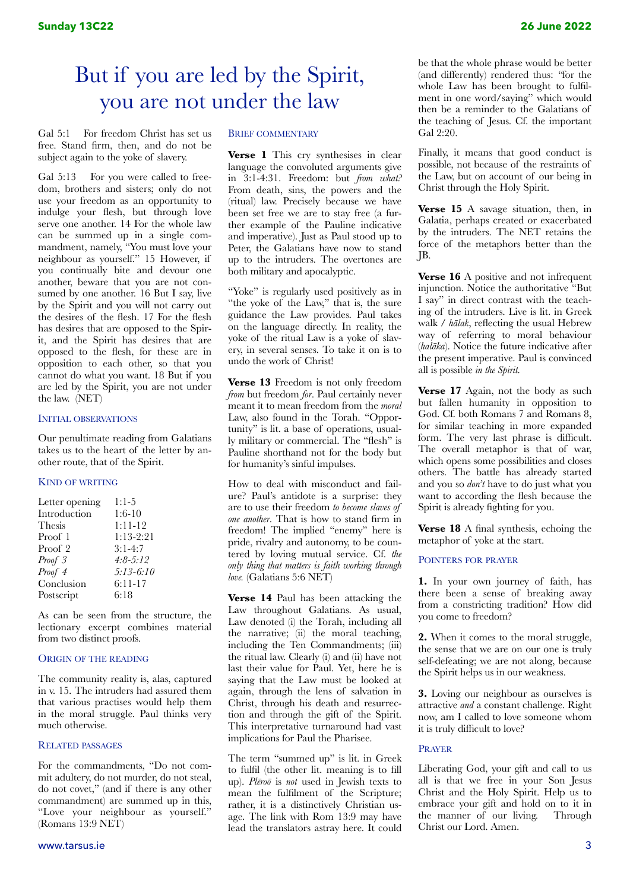# But if you are led by the Spirit, you are not under the law

Gal 5:1 For freedom Christ has set us free. Stand firm, then, and do not be subject again to the yoke of slavery.

Gal 5:13 For you were called to freedom, brothers and sisters; only do not use your freedom as an opportunity to indulge your flesh, but through love serve one another. 14 For the whole law can be summed up in a single commandment, namely, "You must love your neighbour as yourself." 15 However, if you continually bite and devour one another, beware that you are not consumed by one another. 16 But I say, live by the Spirit and you will not carry out the desires of the flesh. 17 For the flesh has desires that are opposed to the Spirit, and the Spirit has desires that are opposed to the flesh, for these are in opposition to each other, so that you cannot do what you want. 18 But if you are led by the Spirit, you are not under the law. (NET)

## INITIAL OBSERVATIONS

Our penultimate reading from Galatians takes us to the heart of the letter by another route, that of the Spirit.

## KIND OF WRITING

| Letter opening | $1:1-5$      |
|----------------|--------------|
| Introduction   | $1:6-10$     |
| Thesis         | $1:11-12$    |
| Proof 1        | $1:13-2:21$  |
| Proof 2        | $3:1-4:7$    |
| Proof 3        | $4:8 - 5:12$ |
| Proof 4        | $5:13-6:10$  |
| Conclusion     | 6:11-17      |
| Postscript     | 6:18         |
|                |              |

As can be seen from the structure, the lectionary excerpt combines material from two distinct proofs.

## ORIGIN OF THE READING

The community reality is, alas, captured in v. 15. The intruders had assured them that various practises would help them in the moral struggle. Paul thinks very much otherwise.

## RELATED PASSAGES

For the commandments, "Do not commit adultery, do not murder, do not steal, do not covet," (and if there is any other commandment) are summed up in this, "Love your neighbour as yourself." (Romans 13:9 NET)

## BRIEF COMMENTARY

**Verse 1** This cry synthesises in clear language the convoluted arguments give in 3:1-4:31. Freedom: but *from what?*  From death, sins, the powers and the (ritual) law. Precisely because we have been set free we are to stay free (a further example of the Pauline indicative and imperative). Just as Paul stood up to Peter, the Galatians have now to stand up to the intruders. The overtones are both military and apocalyptic.

"Yoke" is regularly used positively as in "the yoke of the Law," that is, the sure guidance the Law provides. Paul takes on the language directly. In reality, the yoke of the ritual Law is a yoke of slavery, in several senses. To take it on is to undo the work of Christ!

**Verse 13** Freedom is not only freedom *from* but freedom *for*. Paul certainly never meant it to mean freedom from the *moral*  Law, also found in the Torah. "Opportunity" is lit. a base of operations, usually military or commercial. The "flesh" is Pauline shorthand not for the body but for humanity's sinful impulses.

How to deal with misconduct and failure? Paul's antidote is a surprise: they are to use their freedom *to become slaves of one another*. That is how to stand firm in freedom! The implied "enemy" here is pride, rivalry and autonomy, to be countered by loving mutual service. Cf. *the only thing that matters is faith working through love.* (Galatians 5:6 NET)

**Verse 14** Paul has been attacking the Law throughout Galatians. As usual, Law denoted (i) the Torah, including all the narrative; (ii) the moral teaching, including the Ten Commandments; (iii) the ritual law. Clearly (i) and (ii) have not last their value for Paul. Yet, here he is saying that the Law must be looked at again, through the lens of salvation in Christ, through his death and resurrection and through the gift of the Spirit. This interpretative turnaround had vast implications for Paul the Pharisee.

The term "summed up" is lit. in Greek to fulfil (the other lit. meaning is to fill up). *Plēroō* is *not* used in Jewish texts to mean the fulfilment of the Scripture; rather, it is a distinctively Christian usage. The link with Rom 13:9 may have lead the translators astray here. It could be that the whole phrase would be better (and differently) rendered thus: *"*for the whole Law has been brought to fulfilment in one word/saying" which would then be a reminder to the Galatians of the teaching of Jesus. Cf. the important Gal 2:20.

Finally, it means that good conduct is possible, not because of the restraints of the Law, but on account of our being in Christ through the Holy Spirit.

**Verse 15** A savage situation, then, in Galatia, perhaps created or exacerbated by the intruders. The NET retains the force of the metaphors better than the JB.

**Verse 16** A positive and not infrequent injunction. Notice the authoritative "But I say" in direct contrast with the teaching of the intruders. Live is lit. in Greek walk / *hālak*, reflecting the usual Hebrew way of referring to moral behaviour (*halāka*). Notice the future indicative after the present imperative. Paul is convinced all is possible *in the Spirit.*

**Verse 17** Again, not the body as such but fallen humanity in opposition to God. Cf. both Romans 7 and Romans 8, for similar teaching in more expanded form. The very last phrase is difficult. The overall metaphor is that of war, which opens some possibilities and closes others. The battle has already started and you so *don't* have to do just what you want to according the flesh because the Spirit is already fighting for you.

**Verse 18** A final synthesis, echoing the metaphor of yoke at the start.

## POINTERS FOR PRAYER

**1.** In your own journey of faith, has there been a sense of breaking away from a constricting tradition? How did you come to freedom?

**2.** When it comes to the moral struggle, the sense that we are on our one is truly self-defeating; we are not along, because the Spirit helps us in our weakness.

**3.** Loving our neighbour as ourselves is attractive *and* a constant challenge. Right now, am I called to love someone whom it is truly difficult to love?

## PRAYER

Liberating God, your gift and call to us all is that we free in your Son Jesus Christ and the Holy Spirit. Help us to embrace your gift and hold on to it in the manner of our living. Through Christ our Lord. Amen.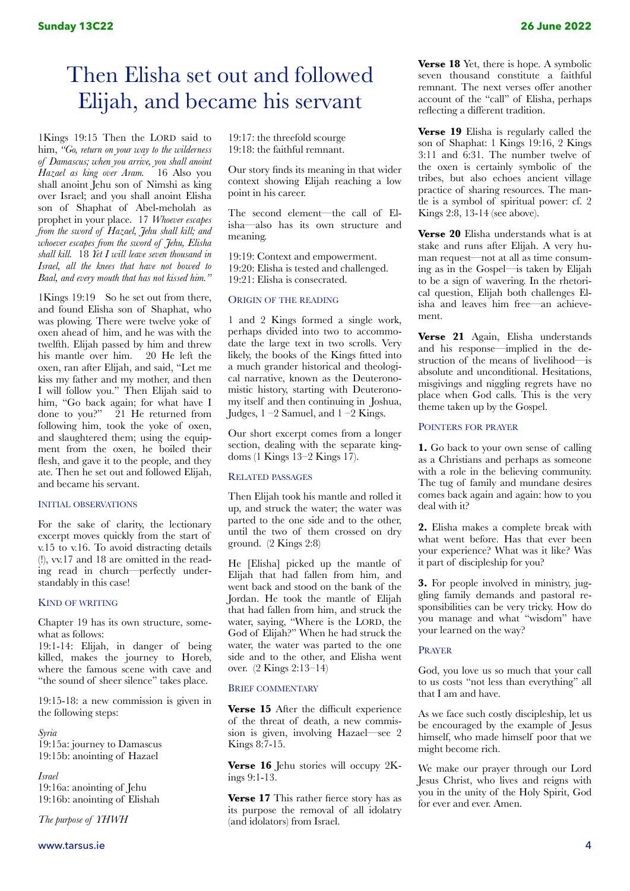## Then Elisha set out and followed Elijah, and became his servant

1Kings 19:15 Then the LORD said to him, *"Go, return on your way to the wilderness of Damascus; when you arrive, you shall anoint Hazael as king over Aram.* 16 Also you shall anoint Jehu son of Nimshi as king over Israel; and you shall anoint Elisha son of Shaphat of Abel-meholah as prophet in your place. 17 *Whoever escapes from the sword of Hazael, Jehu shall kill; and whoever escapes from the sword of Jehu, Elisha shall kill.* 18 *Yet I will leave seven thousand in Israel, all the knees that have not bowed to Baal, and every mouth that has not kissed him."* 

1Kings 19:19 So he set out from there, and found Elisha son of Shaphat, who was plowing. There were twelve yoke of oxen ahead of him, and he was with the twelfth. Elijah passed by him and threw his mantle over him. 20 He left the oxen, ran after Elijah, and said, "Let me kiss my father and my mother, and then I will follow you." Then Elijah said to him, "Go back again; for what have I done to you?" 21 He returned from following him, took the yoke of oxen, and slaughtered them; using the equipment from the oxen, he boiled their flesh, and gave it to the people, and they ate. Then he set out and followed Elijah, and became his servant.

## INITIAL OBSERVATIONS

For the sake of clarity, the lectionary excerpt moves quickly from the start of v.15 to v.16. To avoid distracting details (!), vv.17 and 18 are omitted in the reading read in church—perfectly understandably in this case!

## KIND OF WRITING

Chapter 19 has its own structure, somewhat as follows:

19:1-14: Elijah, in danger of being killed, makes the journey to Horeb, where the famous scene with cave and "the sound of sheer silence" takes place.

19:15-18: a new commission is given in the following steps:

*Syria* 19:15a: journey to Damascus 19:15b: anointing of Hazael

## *Israel* 19:16a: anointing of Jehu 19:16b: anointing of Elishah

*The purpose of YHWH*

19:17: the threefold scourge 19:18: the faithful remnant.

Our story finds its meaning in that wider context showing Elijah reaching a low point in his career.

The second element—the call of Elisha—also has its own structure and meaning.

19:19: Context and empowerment. 19:20: Elisha is tested and challenged. 19:21: Elisha is consecrated.

## ORIGIN OF THE READING

1 and 2 Kings formed a single work, perhaps divided into two to accommodate the large text in two scrolls. Very likely, the books of the Kings fitted into a much grander historical and theological narrative, known as the Deuteronomistic history, starting with Deuteronomy itself and then continuing in Joshua, Judges,  $1 - 2$  Samuel, and  $1 - 2$  Kings.

Our short excerpt comes from a longer section, dealing with the separate kingdoms (1 Kings 13–2 Kings 17).

## RELATED PASSAGES

Then Elijah took his mantle and rolled it up, and struck the water; the water was parted to the one side and to the other, until the two of them crossed on dry ground. (2 Kings 2:8)

He [Elisha] picked up the mantle of Elijah that had fallen from him, and went back and stood on the bank of the Jordan. He took the mantle of Elijah that had fallen from him, and struck the water, saying, "Where is the LORD, the God of Elijah?" When he had struck the water, the water was parted to the one side and to the other, and Elisha went over. (2 Kings 2:13–14)

## BRIEF COMMENTARY

**Verse 15** After the difficult experience of the threat of death, a new commission is given, involving Hazael—see 2 Kings 8:7-15.

**Verse 16** Jehu stories will occupy 2Kings 9:1-13.

**Verse 17** This rather fierce story has as its purpose the removal of all idolatry (and idolators) from Israel.

**Verse 18** Yet, there is hope. A symbolic seven thousand constitute a faithful remnant. The next verses offer another account of the "call" of Elisha, perhaps reflecting a different tradition.

**Verse 19** Elisha is regularly called the son of Shaphat: 1 Kings 19:16, 2 Kings 3:11 and 6:31. The number twelve of the oxen is certainly symbolic of the tribes, but also echoes ancient village practice of sharing resources. The mantle is a symbol of spiritual power: cf. 2 Kings 2:8, 13-14 (see above).

**Verse 20** Elisha understands what is at stake and runs after Elijah. A very human request—not at all as time consuming as in the Gospel—is taken by Elijah to be a sign of wavering. In the rhetorical question, Elijah both challenges Elisha and leaves him free—an achievement.

**Verse 21** Again, Elisha understands and his response—implied in the destruction of the means of livelihood—is absolute and unconditional. Hesitations, misgivings and niggling regrets have no place when God calls. This is the very theme taken up by the Gospel.

## POINTERS FOR PRAYER

**1.** Go back to your own sense of calling as a Christians and perhaps as someone with a role in the believing community. The tug of family and mundane desires comes back again and again: how to you deal with it?

**2.** Elisha makes a complete break with what went before. Has that ever been your experience? What was it like? Was it part of discipleship for you?

**3.** For people involved in ministry, juggling family demands and pastoral responsibilities can be very tricky. How do you manage and what "wisdom" have your learned on the way?

## PRAYER

God, you love us so much that your call to us costs "not less than everything" all that I am and have.

As we face such costly discipleship, let us be encouraged by the example of Jesus himself, who made himself poor that we might become rich.

We make our prayer through our Lord Jesus Christ, who lives and reigns with you in the unity of the Holy Spirit, God for ever and ever. Amen.